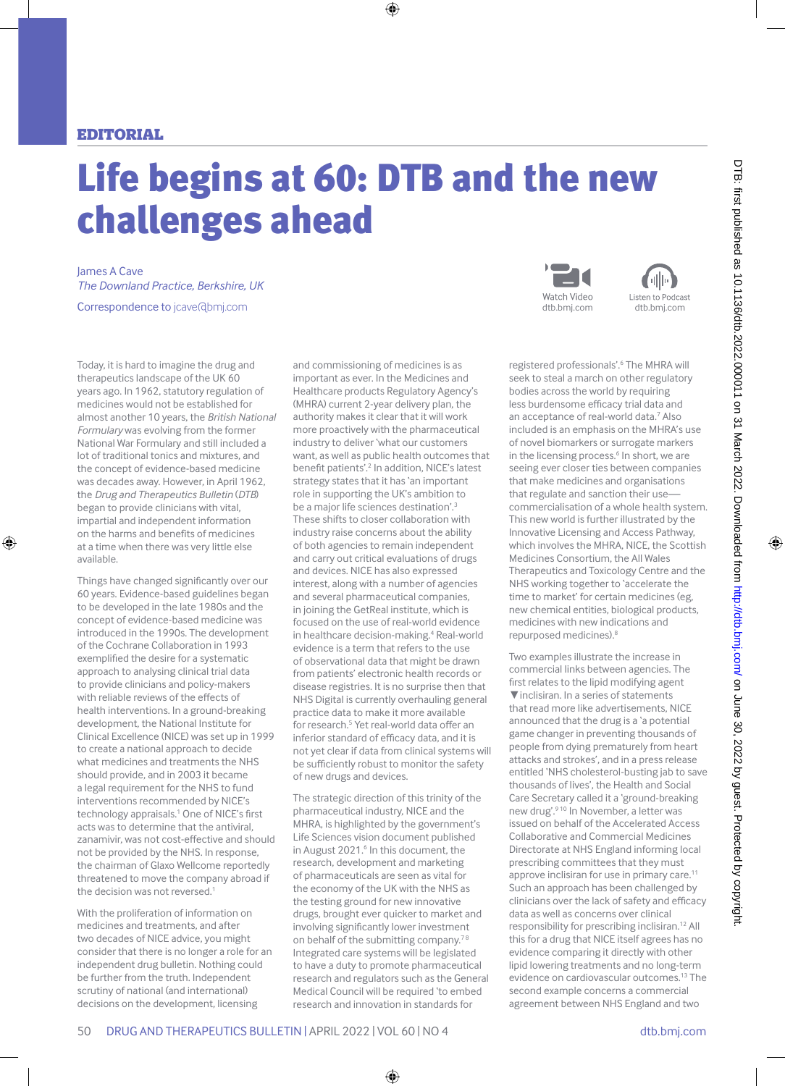## Editorial

## Life begins at 60: DTB and the new challenges ahead

James A Cave *The Downland Practice, Berkshire, UK* Correspondence to jcave@bmj.com

Today, it is hard to imagine the drug and therapeutics landscape of the UK 60 years ago. In 1962, statutory regulation of medicines would not be established for almost another 10 years, the *British National Formulary* was evolving from the former National War Formulary and still included a lot of traditional tonics and mixtures, and the concept of evidence-based medicine was decades away. However, in April 1962, the *Drug and Therapeutics Bulletin* (*DTB*) began to provide clinicians with vital, impartial and independent information on the harms and benefits of medicines at a time when there was very little else available.

Things have changed significantly over our 60 years. Evidence-based guidelines began to be developed in the late 1980s and the concept of evidence-based medicine was introduced in the 1990s. The development of the Cochrane Collaboration in 1993 exemplified the desire for a systematic approach to analysing clinical trial data to provide clinicians and policy-makers with reliable reviews of the effects of health interventions. In a ground-breaking development, the National Institute for Clinical Excellence (NICE) was set up in 1999 to create a national approach to decide what medicines and treatments the NHS should provide, and in 2003 it became a legal requirement for the NHS to fund interventions recommended by NICE's technology appraisals.<sup>1</sup> One of NICE's first acts was to determine that the antiviral, zanamivir, was not cost-effective and should not be provided by the NHS. In response, the chairman of Glaxo Wellcome reportedly threatened to move the company abroad if the decision was not reversed.<sup>1</sup>

With the proliferation of information on medicines and treatments, and after two decades of NICE advice, you might consider that there is no longer a role for an independent drug bulletin. Nothing could be further from the truth. Independent scrutiny of national (and international) decisions on the development, licensing

and commissioning of medicines is as important as ever. In the Medicines and Healthcare products Regulatory Agency's (MHRA) current 2-year delivery plan, the authority makes it clear that it will work more proactively with the pharmaceutical industry to deliver 'what our customers want, as well as public health outcomes that benefit patients'.2 In addition, NICE's latest strategy states that it has 'an important role in supporting the UK's ambition to be a major life sciences destination'.3 These shifts to closer collaboration with industry raise concerns about the ability of both agencies to remain independent and carry out critical evaluations of drugs and devices. NICE has also expressed interest, along with a number of agencies and several pharmaceutical companies, in joining the GetReal institute, which is focused on the use of real-world evidence in healthcare decision-making.<sup>4</sup> Real-world evidence is a term that refers to the use of observational data that might be drawn from patients' electronic health records or disease registries. It is no surprise then that NHS Digital is currently overhauling general practice data to make it more available for research.<sup>5</sup> Yet real-world data offer an inferior standard of efficacy data, and it is not yet clear if data from clinical systems will be sufficiently robust to monitor the safety of new drugs and devices.

The strategic direction of this trinity of the pharmaceutical industry, NICE and the MHRA, is highlighted by the government's Life Sciences vision document published in August 2021.<sup>6</sup> In this document, the research, development and marketing of pharmaceuticals are seen as vital for the economy of the UK with the NHS as the testing ground for new innovative drugs, brought ever quicker to market and involving significantly lower investment on behalf of the submitting company.<sup>78</sup> Integrated care systems will be legislated to have a duty to promote pharmaceutical research and regulators such as the General Medical Council will be required 'to embed research and innovation in standards for





registered professionals'.<sup>6</sup> The MHRA will seek to steal a march on other regulatory bodies across the world by requiring less burdensome efficacy trial data and an acceptance of real-world data.7 Also included is an emphasis on the MHRA's use of novel biomarkers or surrogate markers in the licensing process.<sup>6</sup> In short, we are seeing ever closer ties between companies that make medicines and organisations that regulate and sanction their usecommercialisation of a whole health system. This new world is further illustrated by the Innovative Licensing and Access Pathway, which involves the MHRA, NICE, the Scottish Medicines Consortium, the All Wales Therapeutics and Toxicology Centre and the NHS working together to 'accelerate the time to market' for certain medicines (eg, new chemical entities, biological products, medicines with new indications and repurposed medicines).8

Two examples illustrate the increase in commercial links between agencies. The first relates to the lipid modifying agent ▼inclisiran. In a series of statements that read more like advertisements, NICE announced that the drug is a 'a potential game changer in preventing thousands of people from dying prematurely from heart attacks and strokes', and in a press release entitled 'NHS cholesterol-busting jab to save thousands of lives', the Health and Social Care Secretary called it a 'ground-breaking new drug'.9 10 In November, a letter was issued on behalf of the Accelerated Access Collaborative and Commercial Medicines Directorate at NHS England informing local prescribing committees that they must approve inclisiran for use in primary care.<sup>11</sup> Such an approach has been challenged by clinicians over the lack of safety and efficacy data as well as concerns over clinical responsibility for prescribing inclisiran.12 All this for a drug that NICE itself agrees has no evidence comparing it directly with other lipid lowering treatments and no long-term evidence on cardiovascular outcomes.13 The second example concerns a commercial agreement between NHS England and two